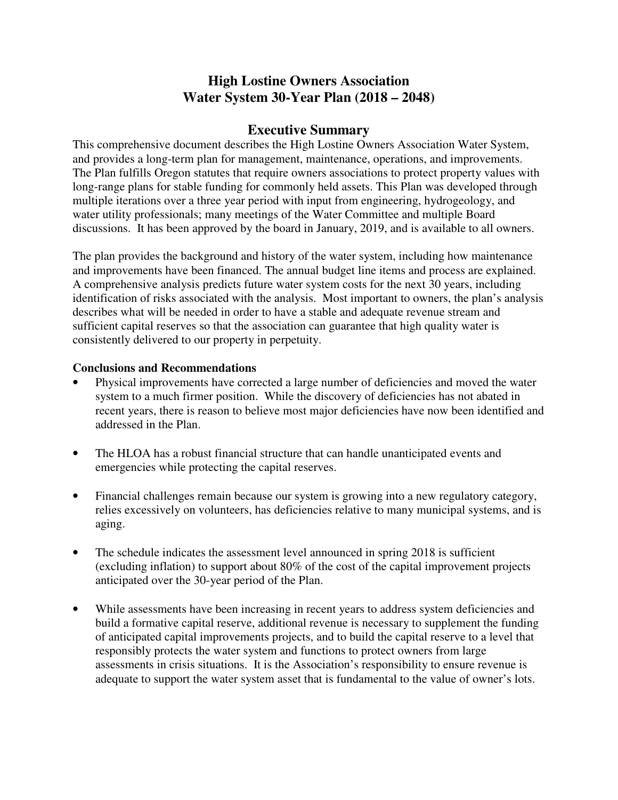## **High Lostine Owners Association Water System 30-Year Plan (2018 – 2048)**

## **Executive Summary**

This comprehensive document describes the High Lostine Owners Association Water System, and provides a long-term plan for management, maintenance, operations, and improvements. The Plan fulfills Oregon statutes that require owners associations to protect property values with long-range plans for stable funding for commonly held assets. This Plan was developed through multiple iterations over a three year period with input from engineering, hydrogeology, and water utility professionals; many meetings of the Water Committee and multiple Board discussions. It has been approved by the board in January, 2019, and is available to all owners.

The plan provides the background and history of the water system, including how maintenance and improvements have been financed. The annual budget line items and process are explained. A comprehensive analysis predicts future water system costs for the next 30 years, including identification of risks associated with the analysis. Most important to owners, the plan's analysis describes what will be needed in order to have a stable and adequate revenue stream and sufficient capital reserves so that the association can guarantee that high quality water is consistently delivered to our property in perpetuity.

## **Conclusions and Recommendations**

- Physical improvements have corrected a large number of deficiencies and moved the water system to a much firmer position. While the discovery of deficiencies has not abated in recent years, there is reason to believe most major deficiencies have now been identified and addressed in the Plan.
- The HLOA has a robust financial structure that can handle unanticipated events and emergencies while protecting the capital reserves.
- Financial challenges remain because our system is growing into a new regulatory category, relies excessively on volunteers, has deficiencies relative to many municipal systems, and is aging.
- The schedule indicates the assessment level announced in spring 2018 is sufficient (excluding inflation) to support about 80% of the cost of the capital improvement projects anticipated over the 30-year period of the Plan.
- While assessments have been increasing in recent years to address system deficiencies and build a formative capital reserve, additional revenue is necessary to supplement the funding of anticipated capital improvements projects, and to build the capital reserve to a level that responsibly protects the water system and functions to protect owners from large assessments in crisis situations. It is the Association's responsibility to ensure revenue is adequate to support the water system asset that is fundamental to the value of owner's lots.